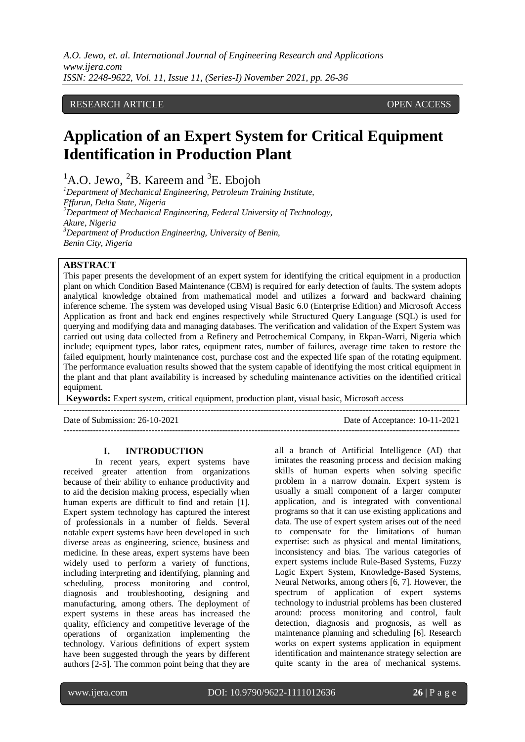## RESEARCH ARTICLE **CONSERVERS** OPEN ACCESS

# **Application of an Expert System for Critical Equipment Identification in Production Plant**

 ${}^{1}$ A.O. Jewo,  ${}^{2}$ B. Kareem and  ${}^{3}$ E. Ebojoh

*<sup>1</sup>Department of Mechanical Engineering, Petroleum Training Institute, Effurun, Delta State, Nigeria <sup>2</sup>Department of Mechanical Engineering, Federal University of Technology, Akure, Nigeria <sup>3</sup>Department of Production Engineering, University of Benin, Benin City, Nigeria*

## **ABSTRACT**

This paper presents the development of an expert system for identifying the critical equipment in a production plant on which Condition Based Maintenance (CBM) is required for early detection of faults. The system adopts analytical knowledge obtained from mathematical model and utilizes a forward and backward chaining inference scheme. The system was developed using Visual Basic 6.0 (Enterprise Edition) and Microsoft Access Application as front and back end engines respectively while Structured Query Language (SQL) is used for querying and modifying data and managing databases. The verification and validation of the Expert System was carried out using data collected from a Refinery and Petrochemical Company, in Ekpan-Warri, Nigeria which include; equipment types, labor rates, equipment rates, number of failures, average time taken to restore the failed equipment, hourly maintenance cost, purchase cost and the expected life span of the rotating equipment. The performance evaluation results showed that the system capable of identifying the most critical equipment in the plant and that plant availability is increased by scheduling maintenance activities on the identified critical equipment.

**Keywords:** Expert system, critical equipment, production plant, visual basic, Microsoft access

---------------------------------------------------------------------------------------------------------------------------------------

Date of Submission: 26-10-2021 Date of Acceptance: 10-11-2021

---------------------------------------------------------------------------------------------------------------------------------------

### **I. INTRODUCTION**

In recent years, expert systems have received greater attention from organizations because of their ability to enhance productivity and to aid the decision making process, especially when human experts are difficult to find and retain [1]. Expert system technology has captured the interest of professionals in a number of fields. Several notable expert systems have been developed in such diverse areas as engineering, science, business and medicine. In these areas, expert systems have been widely used to perform a variety of functions, including interpreting and identifying, planning and scheduling, process monitoring and control, diagnosis and troubleshooting, designing and manufacturing, among others. The deployment of expert systems in these areas has increased the quality, efficiency and competitive leverage of the operations of organization implementing the technology. Various definitions of expert system have been suggested through the years by different authors [2-5]. The common point being that they are all a branch of Artificial Intelligence (AI) that imitates the reasoning process and decision making skills of human experts when solving specific problem in a narrow domain. Expert system is usually a small component of a larger computer application, and is integrated with conventional programs so that it can use existing applications and data. The use of expert system arises out of the need to compensate for the limitations of human expertise: such as physical and mental limitations, inconsistency and bias. The various categories of expert systems include Rule-Based Systems, Fuzzy Logic Expert System, Knowledge-Based Systems, Neural Networks, among others [6, 7]. However, the spectrum of application of expert systems technology to industrial problems has been clustered around: process monitoring and control, fault detection, diagnosis and prognosis, as well as maintenance planning and scheduling [6]. Research works on expert systems application in equipment identification and maintenance strategy selection are quite scanty in the area of mechanical systems.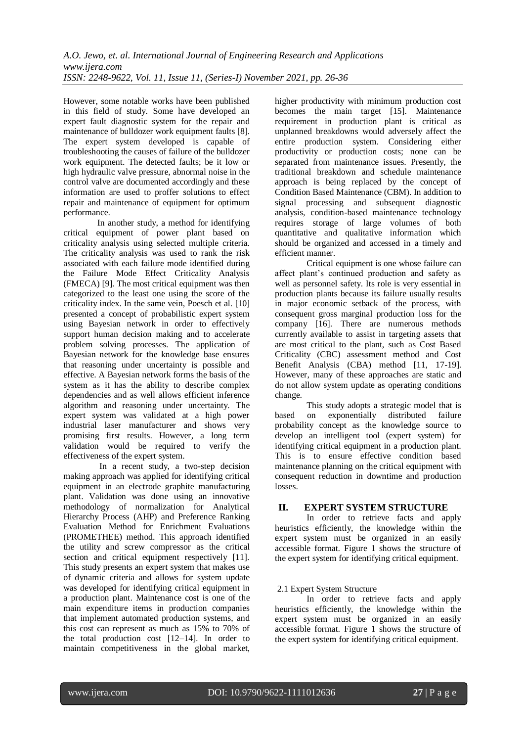However, some notable works have been published in this field of study. Some have developed an expert fault diagnostic system for the repair and maintenance of bulldozer work equipment faults [8]. The expert system developed is capable of troubleshooting the causes of failure of the bulldozer work equipment. The detected faults; be it low or high hydraulic valve pressure, abnormal noise in the control valve are documented accordingly and these information are used to proffer solutions to effect repair and maintenance of equipment for optimum performance.

In another study, a method for identifying critical equipment of power plant based on criticality analysis using selected multiple criteria. The criticality analysis was used to rank the risk associated with each failure mode identified during the Failure Mode Effect Criticality Analysis (FMECA) [9]. The most critical equipment was then categorized to the least one using the score of the criticality index. In the same vein, Poesch et al. [10] presented a concept of probabilistic expert system using Bayesian network in order to effectively support human decision making and to accelerate problem solving processes. The application of Bayesian network for the knowledge base ensures that reasoning under uncertainty is possible and effective. A Bayesian network forms the basis of the system as it has the ability to describe complex dependencies and as well allows efficient inference algorithm and reasoning under uncertainty. The expert system was validated at a high power industrial laser manufacturer and shows very promising first results. However, a long term validation would be required to verify the effectiveness of the expert system.

 In a recent study, a two-step decision making approach was applied for identifying critical equipment in an electrode graphite manufacturing plant. Validation was done using an innovative methodology of normalization for Analytical Hierarchy Process (AHP) and Preference Ranking Evaluation Method for Enrichment Evaluations (PROMETHEE) method. This approach identified the utility and screw compressor as the critical section and critical equipment respectively [11]. This study presents an expert system that makes use of dynamic criteria and allows for system update was developed for identifying critical equipment in a production plant. Maintenance cost is one of the main expenditure items in production companies that implement automated production systems, and this cost can represent as much as 15% to 70% of the total production cost [12–14]. In order to maintain competitiveness in the global market,

higher productivity with minimum production cost becomes the main target [15]. Maintenance requirement in production plant is critical as unplanned breakdowns would adversely affect the entire production system. Considering either productivity or production costs; none can be separated from maintenance issues. Presently, the traditional breakdown and schedule maintenance approach is being replaced by the concept of Condition Based Maintenance (CBM). In addition to signal processing and subsequent diagnostic analysis, condition-based maintenance technology requires storage of large volumes of both quantitative and qualitative information which should be organized and accessed in a timely and efficient manner.

Critical equipment is one whose failure can affect plant's continued production and safety as well as personnel safety. Its role is very essential in production plants because its failure usually results in major economic setback of the process, with consequent gross marginal production loss for the company [16]. There are numerous methods currently available to assist in targeting assets that are most critical to the plant, such as Cost Based Criticality (CBC) assessment method and Cost Benefit Analysis (CBA) method [11, 17-19]. However, many of these approaches are static and do not allow system update as operating conditions change.

This study adopts a strategic model that is based on exponentially distributed failure probability concept as the knowledge source to develop an intelligent tool (expert system) for identifying critical equipment in a production plant. This is to ensure effective condition based maintenance planning on the critical equipment with consequent reduction in downtime and production losses.

## **II. EXPERT SYSTEM STRUCTURE**

In order to retrieve facts and apply heuristics efficiently, the knowledge within the expert system must be organized in an easily accessible format. Figure 1 shows the structure of the expert system for identifying critical equipment.

## 2.1 Expert System Structure

In order to retrieve facts and apply heuristics efficiently, the knowledge within the expert system must be organized in an easily accessible format. Figure 1 shows the structure of the expert system for identifying critical equipment.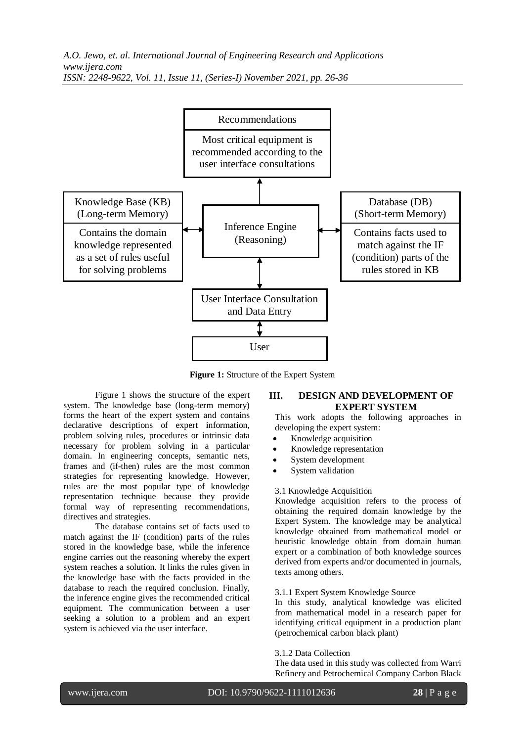

**Figure 1:** Structure of the Expert System

Figure 1 shows the structure of the expert system. The knowledge base (long-term memory) forms the heart of the expert system and contains declarative descriptions of expert information, problem solving rules, procedures or intrinsic data necessary for problem solving in a particular domain. In engineering concepts, semantic nets, frames and (if-then) rules are the most common strategies for representing knowledge. However, rules are the most popular type of knowledge representation technique because they provide formal way of representing recommendations, directives and strategies.

The database contains set of facts used to match against the IF (condition) parts of the rules stored in the knowledge base, while the inference engine carries out the reasoning whereby the expert system reaches a solution. It links the rules given in the knowledge base with the facts provided in the database to reach the required conclusion. Finally, the inference engine gives the recommended critical equipment. The communication between a user seeking a solution to a problem and an expert system is achieved via the user interface.

## **III. DESIGN AND DEVELOPMENT OF EXPERT SYSTEM**

This work adopts the following approaches in developing the expert system:

- Knowledge acquisition
- Knowledge representation
- System development
- System validation

### 3.1 Knowledge Acquisition

Knowledge acquisition refers to the process of obtaining the required domain knowledge by the Expert System. The knowledge may be analytical knowledge obtained from mathematical model or heuristic knowledge obtain from domain human expert or a combination of both knowledge sources derived from experts and/or documented in journals, texts among others.

### 3.1.1 Expert System Knowledge Source

In this study, analytical knowledge was elicited from mathematical model in a research paper for identifying critical equipment in a production plant (petrochemical carbon black plant)

### 3.1.2 Data Collection

The data used in this study was collected from Warri Refinery and Petrochemical Company Carbon Black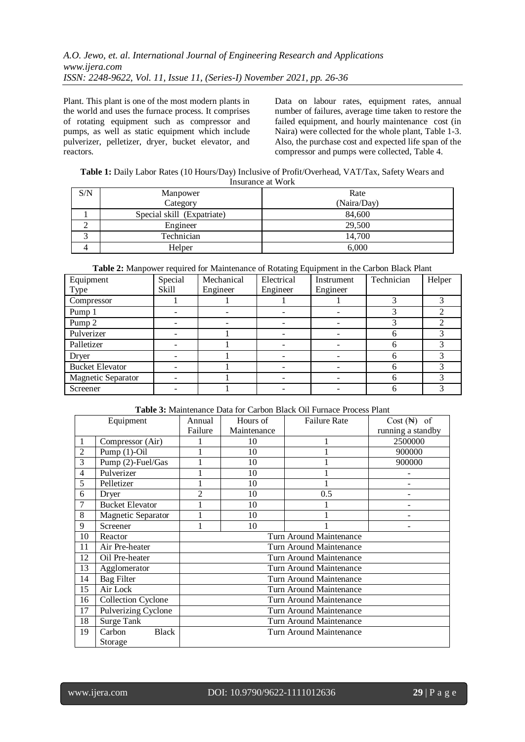Plant. This plant is one of the most modern plants in the world and uses the furnace process. It comprises of rotating equipment such as compressor and pumps, as well as static equipment which include pulverizer, pelletizer, dryer, bucket elevator, and reactors.

Data on labour rates, equipment rates, annual number of failures, average time taken to restore the failed equipment, and hourly maintenance cost (in Naira) were collected for the whole plant, Table 1-3. Also, the purchase cost and expected life span of the compressor and pumps were collected, Table 4.

**Table 1:** Daily Labor Rates (10 Hours/Day) Inclusive of Profit/Overhead, VAT/Tax, Safety Wears and Insurance at Work

| S/N | Manpower                   | Rate        |
|-----|----------------------------|-------------|
|     | Category                   | (Naira/Day) |
|     | Special skill (Expatriate) | 84,600      |
|     | Engineer                   | 29,500      |
|     | Technician                 | 14.700      |
|     | Helper                     | 6,000       |

**Table 2:** Manpower required for Maintenance of Rotating Equipment in the Carbon Black Plant

| Equipment              | Special | Mechanical | Electrical | Instrument | Technician | Helper |
|------------------------|---------|------------|------------|------------|------------|--------|
| Type                   | Skill   | Engineer   | Engineer   | Engineer   |            |        |
| Compressor             |         |            |            |            |            |        |
| Pump 1                 |         |            |            |            |            |        |
| Pump 2                 |         |            |            |            |            |        |
| Pulverizer             |         |            |            |            | h          |        |
| Palletizer             |         |            |            |            | 6          |        |
| Dryer                  |         |            |            |            | h          |        |
| <b>Bucket Elevator</b> |         |            |            |            | h          |        |
| Magnetic Separator     |         |            |            |            | 6          |        |
| Screener               |         |            |            |            | h          |        |

### **Table 3:** Maintenance Data for Carbon Black Oil Furnace Process Plant

|                | Equipment                 | Annual                  | Hours of    | <b>Failure Rate</b>     | $Cost (\mathbb{H})$ of |  |  |  |
|----------------|---------------------------|-------------------------|-------------|-------------------------|------------------------|--|--|--|
|                |                           | Failure                 | Maintenance |                         | running a standby      |  |  |  |
| 1              | Compressor (Air)          |                         | 10          | 1                       | 2500000                |  |  |  |
| $\overline{2}$ | Pump $(1)$ -Oil           |                         | 10          |                         | 900000                 |  |  |  |
| 3              | Pump (2)-Fuel/Gas         |                         | 10          |                         | 900000                 |  |  |  |
| $\overline{4}$ | Pulverizer                |                         | 10          |                         |                        |  |  |  |
| 5              | Pelletizer                |                         | 10          |                         | ۰                      |  |  |  |
| 6              | Dryer                     | $\mathfrak{D}$          | 10          | 0.5                     |                        |  |  |  |
| 7              | <b>Bucket Elevator</b>    |                         | 10          |                         |                        |  |  |  |
| 8              | <b>Magnetic Separator</b> | 10                      |             |                         |                        |  |  |  |
| 9              | Screener                  |                         | 10          |                         |                        |  |  |  |
| 10             | Reactor                   | Turn Around Maintenance |             |                         |                        |  |  |  |
| 11             | Air Pre-heater            | Turn Around Maintenance |             |                         |                        |  |  |  |
| 12             | Oil Pre-heater            |                         |             | Turn Around Maintenance |                        |  |  |  |
| 13             | Agglomerator              |                         |             | Turn Around Maintenance |                        |  |  |  |
| 14             | <b>Bag Filter</b>         |                         |             | Turn Around Maintenance |                        |  |  |  |
| 15             | Air Lock                  |                         |             | Turn Around Maintenance |                        |  |  |  |
| 16             | <b>Collection Cyclone</b> |                         |             | Turn Around Maintenance |                        |  |  |  |
| 17             | Pulverizing Cyclone       |                         |             | Turn Around Maintenance |                        |  |  |  |
| 18             | Surge Tank                |                         |             | Turn Around Maintenance |                        |  |  |  |
| 19             | Carbon<br><b>Black</b>    |                         |             | Turn Around Maintenance |                        |  |  |  |
|                | Storage                   |                         |             |                         |                        |  |  |  |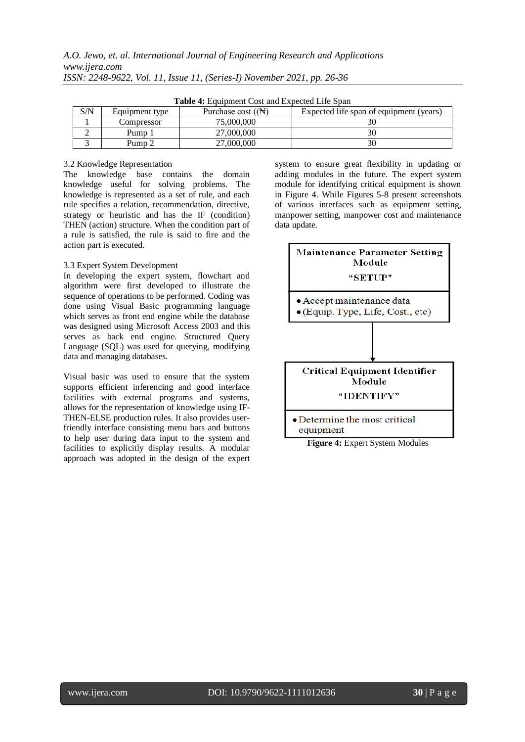|     | <b>Table 4:</b> Equipment Cost and Expected Life Span |                               |                                         |  |  |  |  |  |  |  |  |
|-----|-------------------------------------------------------|-------------------------------|-----------------------------------------|--|--|--|--|--|--|--|--|
| S/N | Equipment type                                        | Purchase cost $({\mathbb N})$ | Expected life span of equipment (years) |  |  |  |  |  |  |  |  |
|     | Compressor                                            | 75,000,000                    |                                         |  |  |  |  |  |  |  |  |
|     | Pump 1                                                | 27.000.000                    |                                         |  |  |  |  |  |  |  |  |
|     | Pump 2                                                | 27,000,000                    |                                         |  |  |  |  |  |  |  |  |

**Table 4:** Equipment Cost and Expected Life Span

#### 3.2 Knowledge Representation

The knowledge base contains the domain knowledge useful for solving problems. The knowledge is represented as a set of rule, and each rule specifies a relation, recommendation, directive, strategy or heuristic and has the IF (condition) THEN (action) structure. When the condition part of a rule is satisfied, the rule is said to fire and the action part is executed.

#### 3.3 Expert System Development

In developing the expert system, flowchart and algorithm were first developed to illustrate the sequence of operations to be performed. Coding was done using Visual Basic programming language which serves as front end engine while the database was designed using Microsoft Access 2003 and this serves as back end engine. Structured Query Language (SQL) was used for querying, modifying data and managing databases.

Visual basic was used to ensure that the system supports efficient inferencing and good interface facilities with external programs and systems, allows for the representation of knowledge using IF-THEN-ELSE production rules. It also provides userfriendly interface consisting menu bars and buttons to help user during data input to the system and facilities to explicitly display results. A modular approach was adopted in the design of the expert system to ensure great flexibility in updating or adding modules in the future. The expert system module for identifying critical equipment is shown in Figure 4. While Figures 5-8 present screenshots of various interfaces such as equipment setting, manpower setting, manpower cost and maintenance data update.



**Figure 4:** Expert System Modules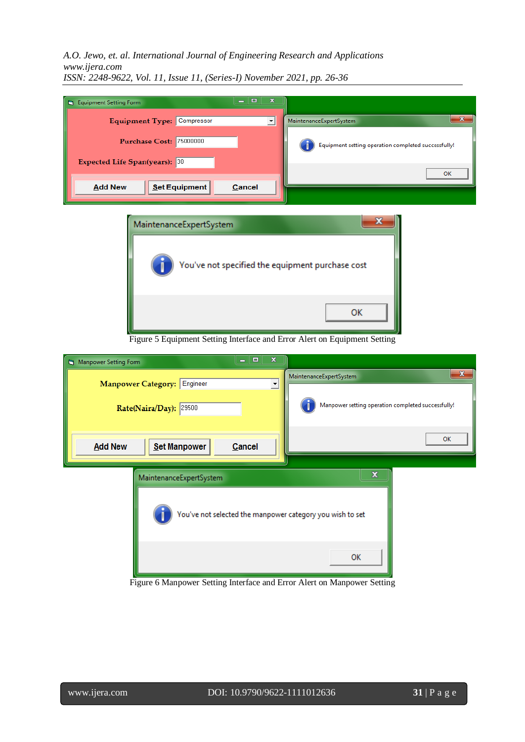*A.O. Jewo, et. al. International Journal of Engineering Research and Applications www.ijera.com*

| $\Box$<br>$\equiv$<br><b>Equipment Setting Form</b> | $\mathbf x$                                         |
|-----------------------------------------------------|-----------------------------------------------------|
| Equipment Type: Compressor                          | $\mathbf{x}$<br>MaintenanceExpertSystem             |
| Purchase Cost: 75000000                             | Equipment setting operation completed successfully! |
| Expected Life Span(years): 30                       | <b>OK</b>                                           |
| Set Equipment<br><b>Add New</b><br><b>Cancel</b>    |                                                     |
| MaintenanceExpertSystem                             | x                                                   |

*ISSN: 2248-9622, Vol. 11, Issue 11, (Series-I) November 2021, pp. 26-36*



Figure 5 Equipment Setting Interface and Error Alert on Equipment Setting

| $\mathbf x$<br>$\Box$<br>$\equiv$<br><b>B</b> Manpower Setting Form |                                                    |
|---------------------------------------------------------------------|----------------------------------------------------|
| Manpower Category: Engineer                                         | $\mathbf{x}$                                       |
| $\blacktriangledown$                                                | MaintenanceExpertSystem                            |
| Rate(Naira/Day): 29500                                              | Manpower setting operation completed successfully! |
| Set Manpower<br><b>Add New</b><br>Cancel                            | OK                                                 |
| MaintenanceExpertSystem                                             | x                                                  |
| You've not selected the manpower category you wish to set           | OK                                                 |

Figure 6 Manpower Setting Interface and Error Alert on Manpower Setting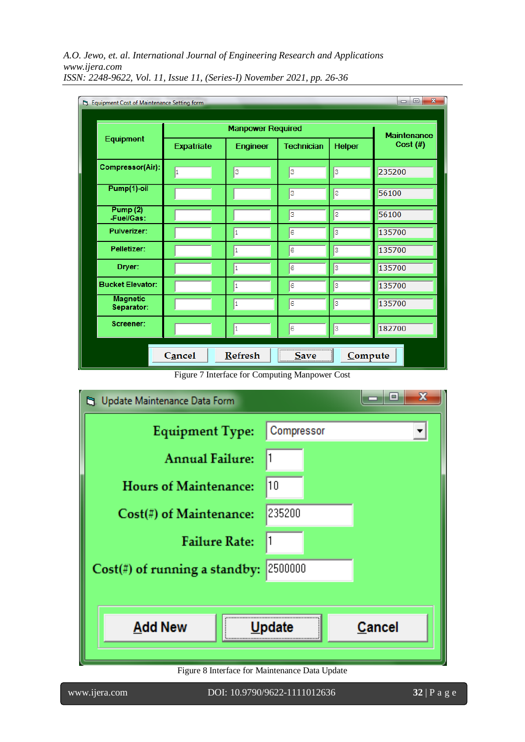| Eg. Equipment Cost of Maintenance Setting form |                   |                          |                   |               | $\mathbf{x}$<br>$\Box$<br>$\blacksquare$ |
|------------------------------------------------|-------------------|--------------------------|-------------------|---------------|------------------------------------------|
| Equipment                                      |                   | <b>Manpower Required</b> |                   |               | <b>Maintenance</b>                       |
|                                                | <b>Expatriate</b> | Engineer                 | <b>Technician</b> | <b>Helper</b> | Cost $(H)$                               |
| Compressor(Air):                               | 1                 | З                        | з                 | З             | 235200                                   |
| Pump(1)-oil                                    |                   |                          | 3                 | S             | 56100                                    |
| Pump (2)<br>-Fuel/Gas:                         |                   |                          | з                 | l2            | 56100                                    |
| <b>Pulverizer:</b>                             |                   | 1                        | 6                 | з             | 135700                                   |
| Pelletizer:                                    |                   | $\mathbf{1}$             | l6                | З             | 135700                                   |
| Dryer:                                         |                   | 1                        | l6                | в             | 135700                                   |
| <b>Bucket Elevator:</b>                        |                   | 1                        | 6                 | з             | 135700                                   |
| <b>Magnetic</b><br>Separator:                  |                   | 1                        | 6                 | 3             | 135700                                   |
| Screener:                                      |                   | 1                        | 6                 | з             | 182700                                   |
|                                                | Cancel            | <b>Refresh</b>           | Save              | Compute       |                                          |

Figure 7 Interface for Computing Manpower Cost



Figure 8 Interface for Maintenance Data Update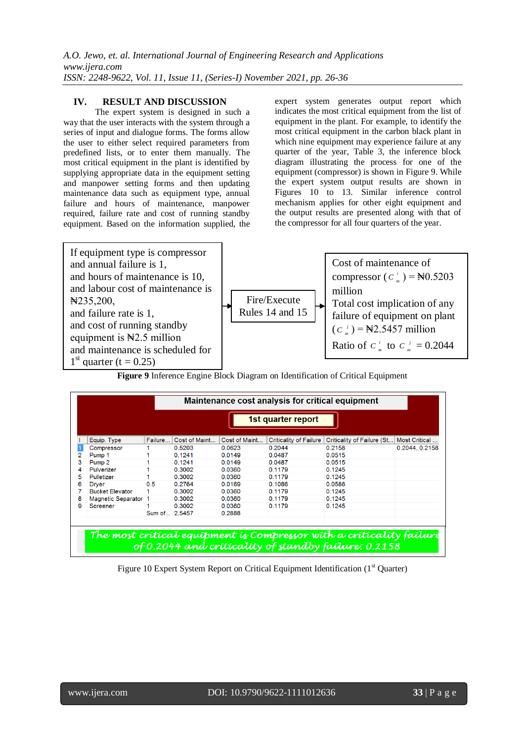## **IV. RESULT AND DISCUSSION**

The expert system is designed in such a way that the user interacts with the system through a series of input and dialogue forms. The forms allow the user to either select required parameters from predefined lists, or to enter them manually. The most critical equipment in the plant is identified by supplying appropriate data in the equipment setting and manpower setting forms and then updating maintenance data such as equipment type, annual failure and hours of maintenance, manpower required, failure rate and cost of running standby equipment. Based on the information supplied, the expert system generates output report which indicates the most critical equipment from the list of equipment in the plant. For example, to identify the most critical equipment in the carbon black plant in which nine equipment may experience failure at any quarter of the year, Table 3, the inference block diagram illustrating the process for one of the equipment (compressor) is shown in Figure 9. While the expert system output results are shown in Figures 10 to 13. Similar inference control mechanism applies for other eight equipment and the output results are presented along with that of the compressor for all four quarters of the year.



**Figure 9** Inference Engine Block Diagram on Identification of Critical Equipment

|   | Maintenance cost analysis for critical equipment                                                                             |               |               |               |                               |                            |                |  |  |  |  |  |  |
|---|------------------------------------------------------------------------------------------------------------------------------|---------------|---------------|---------------|-------------------------------|----------------------------|----------------|--|--|--|--|--|--|
|   | 1st quarter report                                                                                                           |               |               |               |                               |                            |                |  |  |  |  |  |  |
|   | Equip. Type                                                                                                                  | Failure       | Cost of Maint | Cost of Maint | <b>Criticality of Failure</b> | Criticality of Failure (St | Most Critical  |  |  |  |  |  |  |
|   | Compressor                                                                                                                   |               | 0.5203        | 0.0623        | 0.2044                        | 0.2158                     | 0.2044, 0.2158 |  |  |  |  |  |  |
|   | Pump 1                                                                                                                       |               | 0.1241        | 0.0149        | 0.0487                        | 0.0515                     |                |  |  |  |  |  |  |
|   | Pump <sub>2</sub>                                                                                                            |               | 0.1241        | 0.0149        | 0.0487                        | 0.0515                     |                |  |  |  |  |  |  |
| 4 | Pulverizer                                                                                                                   |               | 0.3002        | 0.0360        | 0.1179                        | 0.1245                     |                |  |  |  |  |  |  |
| 5 | Pulletizer                                                                                                                   |               | 0.3002        | 0.0360        | 0.1179                        | 0.1245                     |                |  |  |  |  |  |  |
| 6 | Drver                                                                                                                        | 0.5           | 0.2764        | 0.0169        | 0.1086                        | 0.0586                     |                |  |  |  |  |  |  |
|   | <b>Bucket Elevator</b>                                                                                                       |               | 0.3002        | 0.0360        | 0.1179                        | 0.1245                     |                |  |  |  |  |  |  |
| 8 | Magnetic Separator 1                                                                                                         |               | 0.3002        | 0.0360        | 0.1179                        | 0.1245                     |                |  |  |  |  |  |  |
| я | Screener                                                                                                                     |               | 0.3002        | 0.0360        | 0.1179                        | 0.1245                     |                |  |  |  |  |  |  |
|   |                                                                                                                              | Sum of 2.5457 |               | 0.2888        |                               |                            |                |  |  |  |  |  |  |
|   |                                                                                                                              |               |               |               |                               |                            |                |  |  |  |  |  |  |
|   | The most critical equipment is Compressor with a criticality failure<br>of 0.2044 and criticality of standby failure: 0.2158 |               |               |               |                               |                            |                |  |  |  |  |  |  |

Figure 10 Expert System Report on Critical Equipment Identification (1<sup>st</sup> Quarter)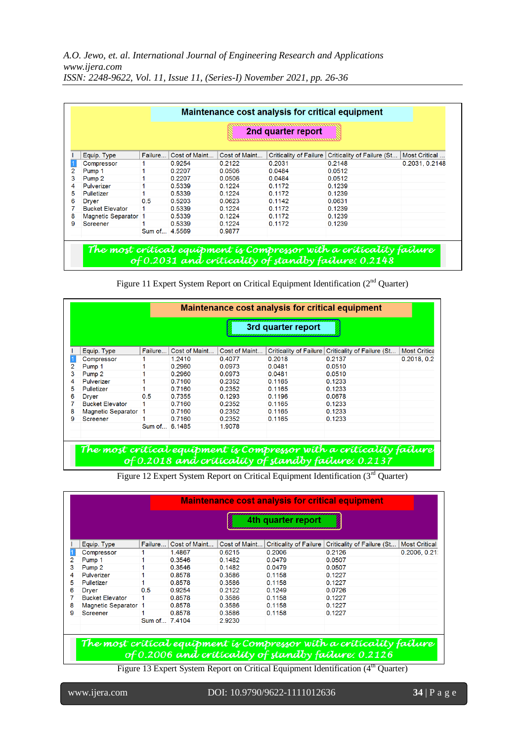|   | 2nd quarter report     |               |               |               |                               |                            |                |  |  |  |  |  |
|---|------------------------|---------------|---------------|---------------|-------------------------------|----------------------------|----------------|--|--|--|--|--|
|   | Equip. Type            | Failure       | Cost of Maint | Cost of Maint | <b>Criticality of Failure</b> | Criticality of Failure (St | Most Critical  |  |  |  |  |  |
|   | Compressor             |               | 0.9254        | 0.2122        | 0.2031                        | 0.2148                     | 0.2031, 0.2148 |  |  |  |  |  |
|   | Pump 1                 |               | 0.2207        | 0.0506        | 0.0484                        | 0.0512                     |                |  |  |  |  |  |
| 3 | Pump <sub>2</sub>      |               | 0.2207        | 0.0506        | 0.0484                        | 0.0512                     |                |  |  |  |  |  |
| 4 | Pulverizer             |               | 0.5339        | 0.1224        | 0.1172                        | 0.1239                     |                |  |  |  |  |  |
| 5 | Pulletizer             |               | 0.5339        | 0.1224        | 0.1172                        | 0.1239                     |                |  |  |  |  |  |
| 6 | <b>Dryer</b>           | 0.5           | 0.5203        | 0.0623        | 0.1142                        | 0.0631                     |                |  |  |  |  |  |
|   | <b>Bucket Elevator</b> |               | 0.5339        | 0.1224        | 0.1172                        | 0.1239                     |                |  |  |  |  |  |
| 8 | Magnetic Separator 1   |               | 0.5339        | 0.1224        | 0.1172                        | 0.1239                     |                |  |  |  |  |  |
| 9 | Screener               |               | 0.5339        | 0.1224        | 0.1172                        | 0.1239                     |                |  |  |  |  |  |
|   |                        | Sum of 4.5569 |               | 0.9877        |                               |                            |                |  |  |  |  |  |

|  |  |  |  |  |  |  | Figure 11 Expert System Report on Critical Equipment Identification (2 <sup>nd</sup> Quarter) |  |  |
|--|--|--|--|--|--|--|-----------------------------------------------------------------------------------------------|--|--|
|--|--|--|--|--|--|--|-----------------------------------------------------------------------------------------------|--|--|

|   | Maintenance cost analysis for critical equipment |               |               |               |        |                                                     |                     |  |  |  |  |  |
|---|--------------------------------------------------|---------------|---------------|---------------|--------|-----------------------------------------------------|---------------------|--|--|--|--|--|
|   | 3rd quarter report                               |               |               |               |        |                                                     |                     |  |  |  |  |  |
|   | Equip. Type                                      | Failure       | Cost of Maint | Cost of Maint |        | Criticality of Failure   Criticality of Failure (St | <b>Most Critica</b> |  |  |  |  |  |
|   | Compressor                                       |               | 1.2410        | 0.4077        | 0.2018 | 0.2137                                              | 0.2018, 0.2         |  |  |  |  |  |
|   | Pump 1                                           |               | 0.2960        | 0.0973        | 0.0481 | 0.0510                                              |                     |  |  |  |  |  |
| 3 | Pump <sub>2</sub>                                |               | 0.2960        | 0.0973        | 0.0481 | 0.0510                                              |                     |  |  |  |  |  |
| 4 | Pulverizer                                       |               | 0.7160        | 0.2352        | 0.1165 | 0.1233                                              |                     |  |  |  |  |  |
| 5 | Pulletizer                                       |               | 0.7160        | 0.2352        | 0.1165 | 0.1233                                              |                     |  |  |  |  |  |
| 6 | Drver                                            | 0.5           | 0.7355        | 0.1293        | 0.1196 | 0.0678                                              |                     |  |  |  |  |  |
|   | <b>Bucket Elevator</b>                           |               | 0.7160        | 0.2352        | 0.1165 | 0.1233                                              |                     |  |  |  |  |  |
| 8 | Magnetic Separator 1                             |               | 0.7160        | 0.2352        | 0.1165 | 0.1233                                              |                     |  |  |  |  |  |
| 9 | Screener                                         |               | 0.7160        | 0.2352        | 0.1165 | 0.1233                                              |                     |  |  |  |  |  |
|   |                                                  | Sum of 6.1485 |               | 1.9078        |        |                                                     |                     |  |  |  |  |  |

The most critical equipment is Compressor with a criticality failure<br>of 0.2018 and criticality of standby failure: 0.2137

Figure 12 Expert System Report on Critical Equipment Identification (3<sup>rd</sup> Quarter)

|    | 4th quarter report     |               |               |               |                               |                                                                                                                              |                      |  |  |  |  |  |
|----|------------------------|---------------|---------------|---------------|-------------------------------|------------------------------------------------------------------------------------------------------------------------------|----------------------|--|--|--|--|--|
|    | Equip. Type            | Failure       | Cost of Maint | Cost of Maint | <b>Criticality of Failure</b> | Criticality of Failure (St                                                                                                   | <b>Most Critical</b> |  |  |  |  |  |
|    | Compressor             |               | 1.4867        | 0.6215        | 0.2006                        | 0.2126                                                                                                                       | 0.2006, 0.21         |  |  |  |  |  |
|    | Pump 1                 |               | 0.3546        | 0.1482        | 0.0479                        | 0.0507                                                                                                                       |                      |  |  |  |  |  |
|    | Pump <sub>2</sub>      |               | 0.3546        | 0.1482        | 0.0479                        | 0.0507                                                                                                                       |                      |  |  |  |  |  |
| 4  | Pulverizer             |               | 0.8578        | 0.3586        | 0.1158                        | 0.1227                                                                                                                       |                      |  |  |  |  |  |
| 5. | Pulletizer             |               | 0.8578        | 0.3586        | 0.1158                        | 0.1227                                                                                                                       |                      |  |  |  |  |  |
| 6  | <b>Dryer</b>           | 0.5           | 0.9254        | 0.2122        | 0.1249                        | 0.0726                                                                                                                       |                      |  |  |  |  |  |
|    | <b>Bucket Elevator</b> |               | 0.8578        | 0.3586        | 0.1158                        | 0.1227                                                                                                                       |                      |  |  |  |  |  |
| 8  | Magnetic Separator 1   |               | 0.8578        | 0.3586        | 0.1158                        | 0.1227                                                                                                                       |                      |  |  |  |  |  |
| 9  | Screener               |               | 0.8578        | 0.3586        | 0.1158                        | 0.1227                                                                                                                       |                      |  |  |  |  |  |
|    |                        | Sum of 7.4104 |               | 2.9230        |                               |                                                                                                                              |                      |  |  |  |  |  |
|    |                        |               |               |               |                               |                                                                                                                              |                      |  |  |  |  |  |
|    |                        |               |               |               |                               | The most critical equipment is Compressor with a criticality failure<br>of 0.2006 and criticality of standby failure: 0.2126 |                      |  |  |  |  |  |

Figure 13 Expert System Report on Critical Equipment Identification (4<sup>th</sup> Quarter)

l

www.ijera.com DOI: 10.9790/9622-1111012636 **34** | P a g e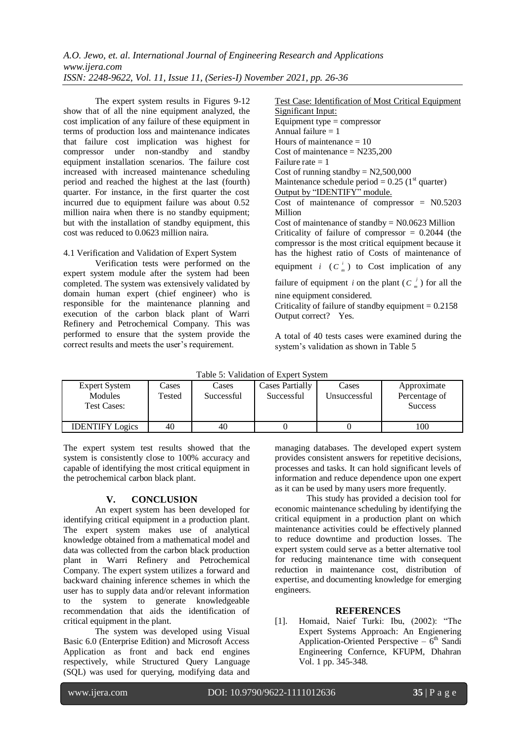The expert system results in Figures 9-12 show that of all the nine equipment analyzed, the cost implication of any failure of these equipment in terms of production loss and maintenance indicates that failure cost implication was highest for compressor under non-standby and standby equipment installation scenarios. The failure cost increased with increased maintenance scheduling period and reached the highest at the last (fourth) quarter. For instance, in the first quarter the cost incurred due to equipment failure was about 0.52 million naira when there is no standby equipment; but with the installation of standby equipment, this cost was reduced to 0.0623 million naira.

4.1 Verification and Validation of Expert System

Verification tests were performed on the expert system module after the system had been completed. The system was extensively validated by domain human expert (chief engineer) who is responsible for the maintenance planning and execution of the carbon black plant of Warri Refinery and Petrochemical Company. This was performed to ensure that the system provide the correct results and meets the user's requirement.

Test Case: Identification of Most Critical Equipment Significant Input: Equipment type  $=$  compressor Annual failure  $= 1$ Hours of maintenance  $= 10$ Cost of maintenance  $= N235,200$ Failure rate  $= 1$ Cost of running standby  $= N2,500,000$ Maintenance schedule period =  $0.25$  (1<sup>st</sup> quarter) Output by "IDENTIFY" module. Cost of maintenance of compressor  $=$  N0.5203 Million Cost of maintenance of standby  $=$  N0.0623 Million Criticality of failure of compressor  $= 0.2044$  (the compressor is the most critical equipment because it has the highest ratio of Costs of maintenance of equipment *i*  $(C_m^i)$  to Cost implication of any failure of equipment *i* on the plant  $(C_m^i)$  for all the nine equipment considered. Criticality of failure of standby equipment  $= 0.2158$ Output correct? Yes.

A total of 40 tests cases were examined during the system's validation as shown in Table 5

| <b>Expert System</b><br><b>Modules</b><br><b>Test Cases:</b> | Cases<br>Tested | Cases<br>Successful | <b>Cases Partially</b><br>Successful | Cases<br>Unsuccessful | Approximate<br>Percentage of<br><b>Success</b> |  |
|--------------------------------------------------------------|-----------------|---------------------|--------------------------------------|-----------------------|------------------------------------------------|--|
| <b>IDENTIFY Logics</b>                                       | 40              | 40                  |                                      |                       | 100                                            |  |

The expert system test results showed that the system is consistently close to 100% accuracy and capable of identifying the most critical equipment in the petrochemical carbon black plant.

## **V. CONCLUSION**

An expert system has been developed for identifying critical equipment in a production plant. The expert system makes use of analytical knowledge obtained from a mathematical model and data was collected from the carbon black production plant in Warri Refinery and Petrochemical Company. The expert system utilizes a forward and backward chaining inference schemes in which the user has to supply data and/or relevant information to the system to generate knowledgeable recommendation that aids the identification of critical equipment in the plant.

The system was developed using Visual Basic 6.0 (Enterprise Edition) and Microsoft Access Application as front and back end engines respectively, while Structured Query Language (SQL) was used for querying, modifying data and managing databases. The developed expert system provides consistent answers for repetitive decisions, processes and tasks. It can hold significant levels of information and reduce dependence upon one expert as it can be used by many users more frequently.

This study has provided a decision tool for economic maintenance scheduling by identifying the critical equipment in a production plant on which maintenance activities could be effectively planned to reduce downtime and production losses. The expert system could serve as a better alternative tool for reducing maintenance time with consequent reduction in maintenance cost, distribution of expertise, and documenting knowledge for emerging engineers.

## **REFERENCES**

[1]. Homaid, Naief Turki: Ibu, (2002): "The Expert Systems Approach: An Engienering Application-Oriented Perspective  $-6<sup>th</sup>$  Sandi Engineering Confernce, KFUPM, Dhahran Vol. 1 pp. 345-348.